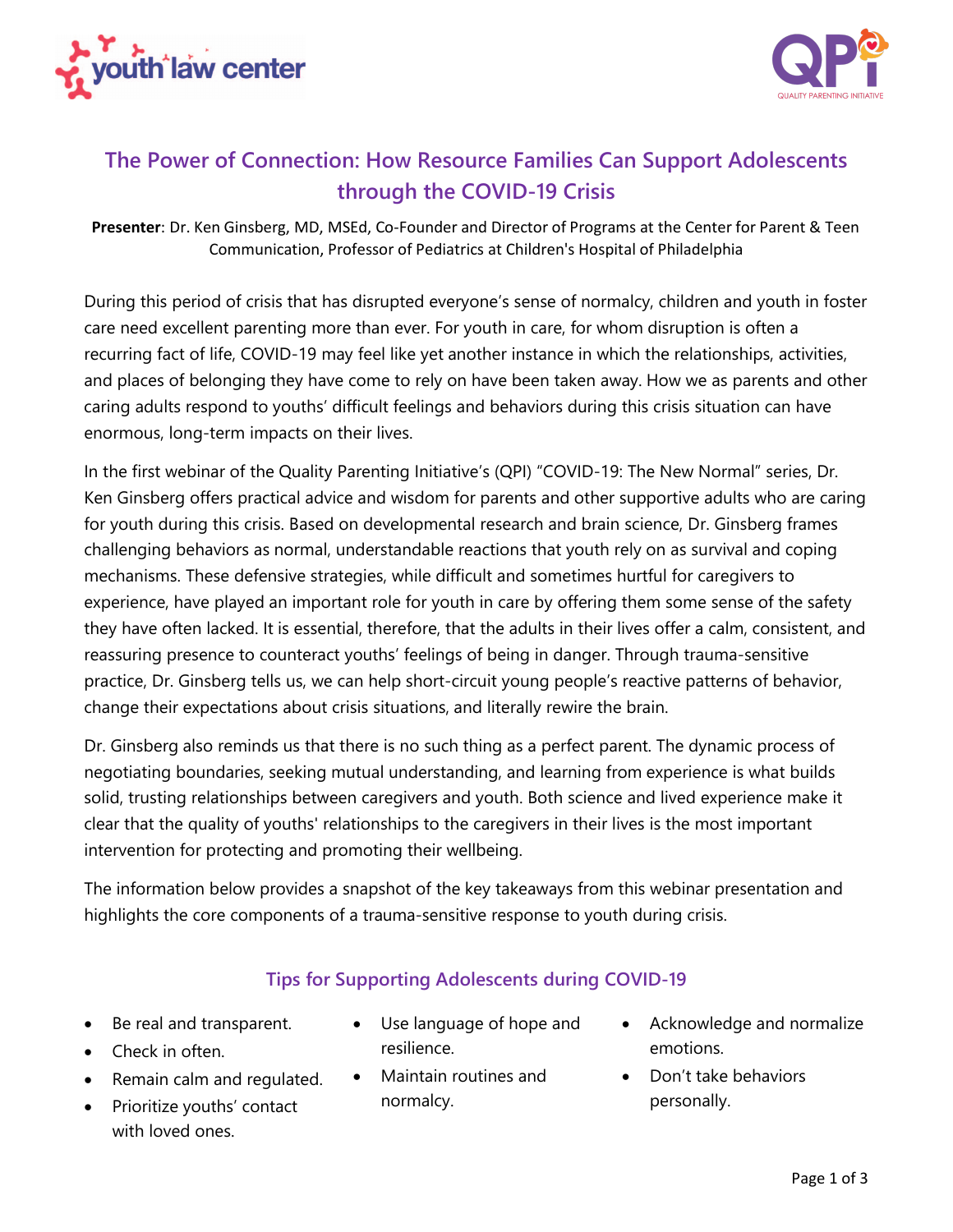



# **The Power of Connection: How Resource Families Can Support Adolescents through the COVID-19 Crisis**

**Presenter**: Dr. Ken Ginsberg, MD, MSEd, Co-Founder and Director of Programs at the Center for Parent & Teen Communication, Professor of Pediatrics at Children's Hospital of Philadelphia

During this period of crisis that has disrupted everyone's sense of normalcy, children and youth in foster care need excellent parenting more than ever. For youth in care, for whom disruption is often a recurring fact of life, COVID-19 may feel like yet another instance in which the relationships, activities, and places of belonging they have come to rely on have been taken away. How we as parents and other caring adults respond to youths' difficult feelings and behaviors during this crisis situation can have enormous, long-term impacts on their lives.

In the first webinar of the Quality Parenting Initiative's (QPI) "COVID-19: The New Normal" series, Dr. Ken Ginsberg offers practical advice and wisdom for parents and other supportive adults who are caring for youth during this crisis. Based on developmental research and brain science, Dr. Ginsberg frames challenging behaviors as normal, understandable reactions that youth rely on as survival and coping mechanisms. These defensive strategies, while difficult and sometimes hurtful for caregivers to experience, have played an important role for youth in care by offering them some sense of the safety they have often lacked. It is essential, therefore, that the adults in their lives offer a calm, consistent, and reassuring presence to counteract youths' feelings of being in danger. Through trauma-sensitive practice, Dr. Ginsberg tells us, we can help short-circuit young people's reactive patterns of behavior, change their expectations about crisis situations, and literally rewire the brain.

Dr. Ginsberg also reminds us that there is no such thing as a perfect parent. The dynamic process of negotiating boundaries, seeking mutual understanding, and learning from experience is what builds solid, trusting relationships between caregivers and youth. Both science and lived experience make it clear that the quality of youths' relationships to the caregivers in their lives is the most important intervention for protecting and promoting their wellbeing.

The information below provides a snapshot of the key takeaways from this webinar presentation and highlights the core components of a trauma-sensitive response to youth during crisis.

## **Tips for Supporting Adolescents during COVID-19**

- Be real and transparent.
- Check in often.
- Remain calm and regulated.
- Prioritize youths' contact with loved ones.
- Use language of hope and resilience.
- Maintain routines and normalcy.
- Acknowledge and normalize emotions.
- Don't take behaviors personally.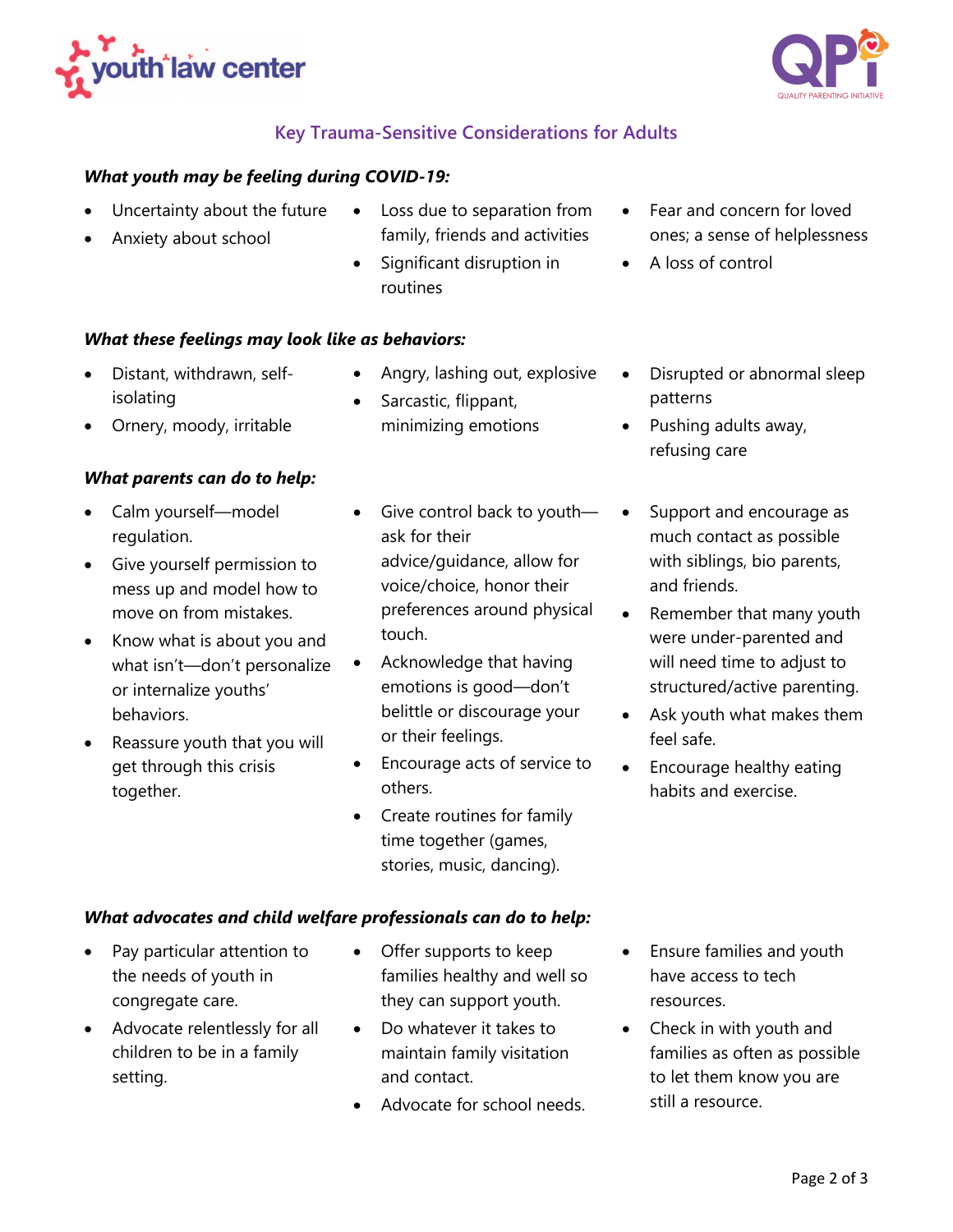



## **Key Trauma-Sensitive Considerations for Adults**

#### *What youth may be feeling during COVID-19:*

- Uncertainty about the future
- Anxiety about school
- Loss due to separation from family, friends and activities
- Significant disruption in routines
- Fear and concern for loved ones; a sense of helplessness
- A loss of control

#### *What these feelings may look like as behaviors:*

- Distant, withdrawn, selfisolating
- Angry, lashing out, explosive
- Sarcastic, flippant, minimizing emotions
- Ornery, moody, irritable

#### *What parents can do to help:*

- Calm yourself—model regulation.
- Give yourself permission to mess up and model how to move on from mistakes.
- Know what is about you and what isn't—don't personalize or internalize youths' behaviors.
- Reassure youth that you will get through this crisis together.
- Give control back to youthask for their advice/guidance, allow for voice/choice, honor their preferences around physical touch.
- Acknowledge that having emotions is good—don't belittle or discourage your or their feelings.
- Encourage acts of service to others.
- Create routines for family time together (games, stories, music, dancing).
- Disrupted or abnormal sleep patterns
- Pushing adults away, refusing care
- Support and encourage as much contact as possible with siblings, bio parents, and friends.
- Remember that many youth were under-parented and will need time to adjust to structured/active parenting.
- Ask youth what makes them feel safe.
- Encourage healthy eating habits and exercise.

#### *What advocates and child welfare professionals can do to help:*

- Pay particular attention to the needs of youth in congregate care.
- Advocate relentlessly for all children to be in a family setting.
- Offer supports to keep families healthy and well so they can support youth.
- Do whatever it takes to maintain family visitation and contact.
- Advocate for school needs.
- Ensure families and youth have access to tech resources.
- Check in with youth and families as often as possible to let them know you are still a resource.